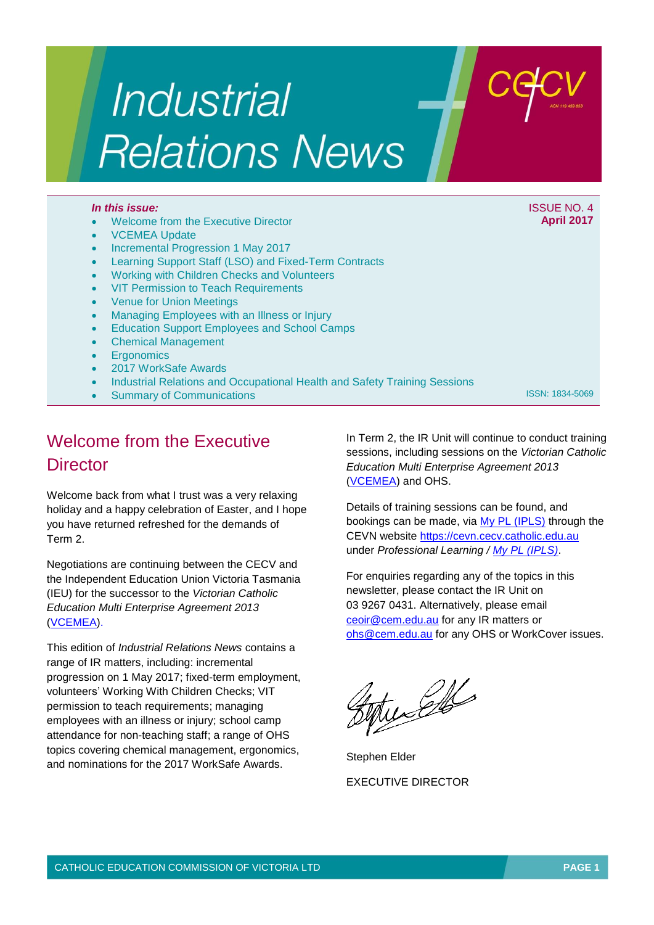# Industrial **Relations News**

#### *In this issue:* ISSUE NO. 4

- Welcome from the Executive Director
- VCEMEA Update
- Incremental Progression 1 May 2017
- Learning Support Staff (LSO) and Fixed-Term Contracts
- Working with Children Checks and Volunteers
- VIT Permission to Teach Requirements
- Venue for Union Meetings
- Managing Employees with an Illness or Injury
- Education Support Employees and School Camps
- Chemical Management
- **Ergonomics**
- 2017 WorkSafe Awards
- Industrial Relations and Occupational Health and Safety Training Sessions
- Summary of Communications

ISSN: 1834-5069

**April 2017**

# Welcome from the Executive **Director**

Welcome back from what I trust was a very relaxing holiday and a happy celebration of Easter, and I hope you have returned refreshed for the demands of Term 2.

Negotiations are continuing between the CECV and the Independent Education Union Victoria Tasmania (IEU) for the successor to the *Victorian Catholic Education Multi Enterprise Agreement 2013* [\(VCEMEA\)](http://www.cecv.catholic.edu.au/getmedia/e728ccbb-dac1-4822-9607-7c5cb8abdae9/VCEMEA_2013.aspx).

This edition of *Industrial Relations News* contains a range of IR matters, including: incremental progression on 1 May 2017; fixed-term employment, volunteers' Working With Children Checks; VIT permission to teach requirements; managing employees with an illness or injury; school camp attendance for non-teaching staff; a range of OHS topics covering chemical management, ergonomics, and nominations for the 2017 WorkSafe Awards.

In Term 2, the IR Unit will continue to conduct training sessions, including sessions on the *Victorian Catholic Education Multi Enterprise Agreement 2013* [\(VCEMEA\)](http://www.cecv.catholic.edu.au/getmedia/e728ccbb-dac1-4822-9607-7c5cb8abdae9/VCEMEA_2013.aspx) and OHS.

Details of training sessions can be found, and bookings can be made, via [My PL \(IPLS\)](http://cevn.cecv.catholic.edu.au/ProfessionalLearning.aspx?id=7160) through the CEVN website [https://cevn.cecv.catholic.edu.au](https://cevn.cecv.catholic.edu.au/) under *Professional Learning / [My PL \(IPLS\)](http://cevn.cecv.catholic.edu.au/ProfessionalLearning.aspx?id=7160)*.

For enquiries regarding any of the topics in this newsletter, please contact the IR Unit on 03 9267 0431. Alternatively, please email [ceoir@cem.edu.au](file://///SHFILESVR01/CEOMData/Industrial%20Relations/IR%20Newsletters/2017/04%20April/ceoir@cem.edu.au) for any IR matters or [ohs@cem.edu.au](file://///SHFILESVR01/CEOMData/Industrial%20Relations/IR%20Newsletters/2017/04%20April/ohs@cem.edu.au) for any OHS or WorkCover issues.

tuselle

Stephen Elder EXECUTIVE DIRECTOR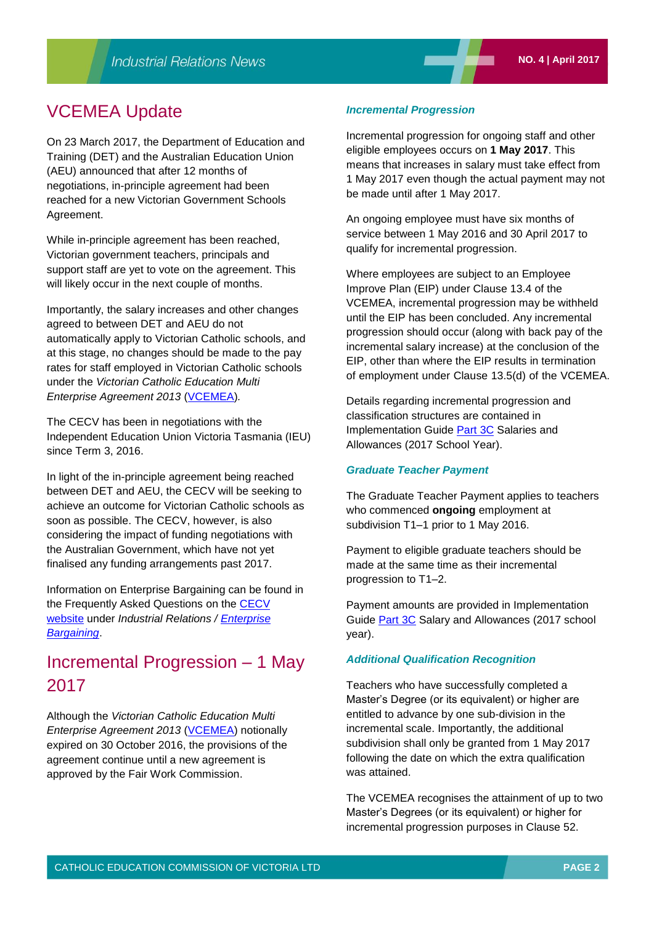## VCEMEA Update

On 23 March 2017, the Department of Education and Training (DET) and the Australian Education Union (AEU) announced that after 12 months of negotiations, in-principle agreement had been reached for a new Victorian Government Schools Agreement.

While in-principle agreement has been reached, Victorian government teachers, principals and support staff are yet to vote on the agreement. This will likely occur in the next couple of months.

Importantly, the salary increases and other changes agreed to between DET and AEU do not automatically apply to Victorian Catholic schools, and at this stage, no changes should be made to the pay rates for staff employed in Victorian Catholic schools under the *Victorian Catholic Education Multi Enterprise Agreement 2013* [\(VCEMEA\)](http://www.cecv.catholic.edu.au/getmedia/e728ccbb-dac1-4822-9607-7c5cb8abdae9/VCEMEA_2013.aspx)*.*

The CECV has been in negotiations with the Independent Education Union Victoria Tasmania (IEU) since Term 3, 2016.

In light of the in-principle agreement being reached between DET and AEU, the CECV will be seeking to achieve an outcome for Victorian Catholic schools as soon as possible. The CECV, however, is also considering the impact of funding negotiations with the Australian Government, which have not yet finalised any funding arrangements past 2017.

Information on Enterprise Bargaining can be found in the Frequently Asked Questions on the [CECV](http://www.cecv.catholic.edu.au/Industrial-Relations)  [website](http://www.cecv.catholic.edu.au/Industrial-Relations) under *Industrial Relations / [Enterprise](http://www.cecv.catholic.edu.au/Industrial-Relations/EB)  [Bargaining](http://www.cecv.catholic.edu.au/Industrial-Relations/EB)*.

# Incremental Progression – 1 May 2017

Although the *Victorian Catholic Education Multi Enterprise Agreement 2013* [\(VCEMEA\)](http://www.cecv.catholic.edu.au/getmedia/e728ccbb-dac1-4822-9607-7c5cb8abdae9/VCEMEA_2013.aspx) notionally expired on 30 October 2016, the provisions of the agreement continue until a new agreement is approved by the Fair Work Commission.

#### *Incremental Progression*

Incremental progression for ongoing staff and other eligible employees occurs on **1 May 2017**. This means that increases in salary must take effect from 1 May 2017 even though the actual payment may not be made until after 1 May 2017.

An ongoing employee must have six months of service between 1 May 2016 and 30 April 2017 to qualify for incremental progression.

Where employees are subject to an Employee Improve Plan (EIP) under Clause 13.4 of the VCEMEA, incremental progression may be withheld until the EIP has been concluded. Any incremental progression should occur (along with back pay of the incremental salary increase) at the conclusion of the EIP, other than where the EIP results in termination of employment under Clause 13.5(d) of the VCEMEA.

Details regarding incremental progression and classification structures are contained in Implementation Guide [Part 3C](http://www.cecv.catholic.edu.au/getmedia/9e5b828e-4f80-4934-b3c2-a27b3c87c47b/Implementation-Guide-Part-3C.aspx) Salaries and Allowances (2017 School Year).

#### *Graduate Teacher Payment*

The Graduate Teacher Payment applies to teachers who commenced **ongoing** employment at subdivision T1–1 prior to 1 May 2016.

Payment to eligible graduate teachers should be made at the same time as their incremental progression to T1–2.

Payment amounts are provided in Implementation Guide [Part 3C](http://www.cecv.catholic.edu.au/getmedia/9e5b828e-4f80-4934-b3c2-a27b3c87c47b/Implementation-Guide-Part-3C.aspx) Salary and Allowances (2017 school year).

#### *Additional Qualification Recognition*

Teachers who have successfully completed a Master's Degree (or its equivalent) or higher are entitled to advance by one sub-division in the incremental scale. Importantly, the additional subdivision shall only be granted from 1 May 2017 following the date on which the extra qualification was attained.

The VCEMEA recognises the attainment of up to two Master's Degrees (or its equivalent) or higher for incremental progression purposes in Clause 52.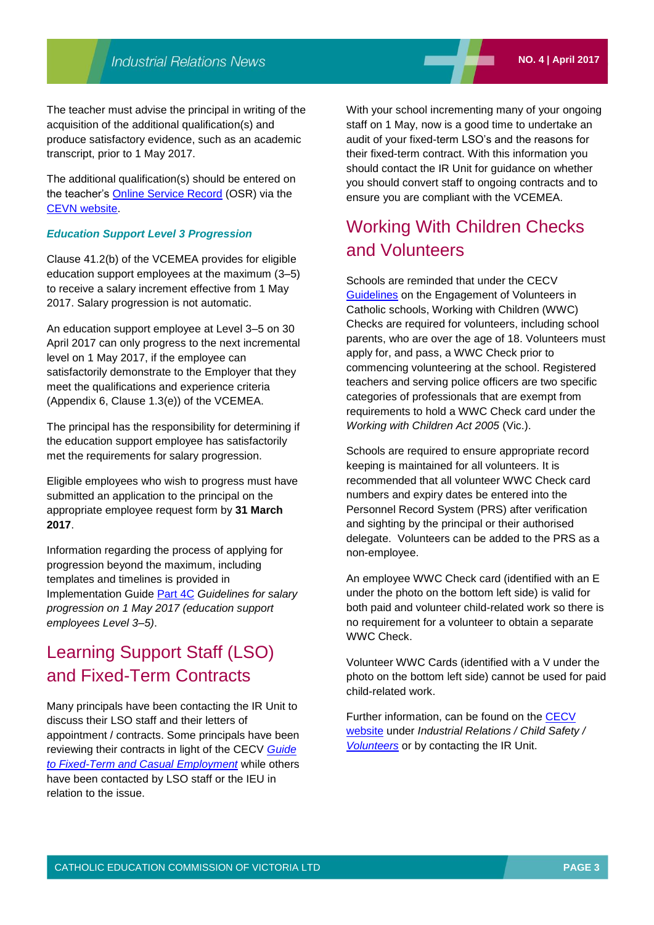The teacher must advise the principal in writing of the acquisition of the additional qualification(s) and produce satisfactory evidence, such as an academic transcript, prior to 1 May 2017.

The additional qualification(s) should be entered on the teacher's [Online Service Record](http://cevn.cecv.catholic.edu.au/StaffingIR.aspx?id=18685) (OSR) via the [CEVN website.](https://cevn.cecv.catholic.edu.au/login/cevnlogin.aspx?redirect=http://cevn.cecv.catholic.edu.au/default_w.aspx?pageid=27012)

#### *Education Support Level 3 Progression*

Clause 41.2(b) of the VCEMEA provides for eligible education support employees at the maximum (3–5) to receive a salary increment effective from 1 May 2017. Salary progression is not automatic.

An education support employee at Level 3–5 on 30 April 2017 can only progress to the next incremental level on 1 May 2017, if the employee can satisfactorily demonstrate to the Employer that they meet the qualifications and experience criteria (Appendix 6, Clause 1.3(e)) of the VCEMEA.

The principal has the responsibility for determining if the education support employee has satisfactorily met the requirements for salary progression.

Eligible employees who wish to progress must have submitted an application to the principal on the appropriate employee request form by **31 March 2017**.

Information regarding the process of applying for progression beyond the maximum, including templates and timelines is provided in Implementation Guide [Part 4C](http://www.cecv.catholic.edu.au/getmedia/0cee7920-842a-4da2-b36b-da274702dd76/Part-4C-Guidelines-for-salary-progression-ES3-5-170117.aspx) *Guidelines for salary progression on 1 May 2017 (education support employees Level 3–5)*.

## Learning Support Staff (LSO) and Fixed-Term Contracts

Many principals have been contacting the IR Unit to discuss their LSO staff and their letters of appointment / contracts. Some principals have been reviewing their contracts in light of the CECV *[Guide](http://www.cecv.catholic.edu.au/getmedia/08b855bf-e19f-4e1a-ad24-2d880b3a0097/Fixed-term-employment-guide.aspx)  to Fixed-Term and [Casual Employment](http://www.cecv.catholic.edu.au/getmedia/08b855bf-e19f-4e1a-ad24-2d880b3a0097/Fixed-term-employment-guide.aspx)* while others have been contacted by LSO staff or the IEU in relation to the issue.

With your school incrementing many of your ongoing staff on 1 May, now is a good time to undertake an audit of your fixed-term LSO's and the reasons for their fixed-term contract. With this information you should contact the IR Unit for guidance on whether you should convert staff to ongoing contracts and to ensure you are compliant with the VCEMEA.

## Working With Children Checks and Volunteers

Schools are reminded that under the CECV [Guidelines](http://www.cecv.catholic.edu.au/getmedia/14f0d67b-fb34-48eb-bd2c-0a32688b1a96/Volunteer-Guidelines.aspx) on the Engagement of Volunteers in Catholic schools, Working with Children (WWC) Checks are required for volunteers, including school parents, who are over the age of 18. Volunteers must apply for, and pass, a WWC Check prior to commencing volunteering at the school. Registered teachers and serving police officers are two specific categories of professionals that are exempt from requirements to hold a WWC Check card under the *Working with Children Act 2005* (Vic.).

Schools are required to ensure appropriate record keeping is maintained for all volunteers. It is recommended that all volunteer WWC Check card numbers and expiry dates be entered into the Personnel Record System (PRS) after verification and sighting by the principal or their authorised delegate. Volunteers can be added to the PRS as a non-employee.

An employee WWC Check card (identified with an E under the photo on the bottom left side) is valid for both paid and volunteer child-related work so there is no requirement for a volunteer to obtain a separate WWC Check.

Volunteer WWC Cards (identified with a V under the photo on the bottom left side) cannot be used for paid child-related work.

Further information, can be found on the [CECV](http://www.cecv.catholic.edu.au/Industrial-Relations)  [website](http://www.cecv.catholic.edu.au/Industrial-Relations) under *Industrial Relations / Child Safety / [Volunteers](http://www.cecv.catholic.edu.au/getmedia/14f0d67b-fb34-48eb-bd2c-0a32688b1a96/Volunteer-Guidelines.aspx)* or by contacting the IR Unit.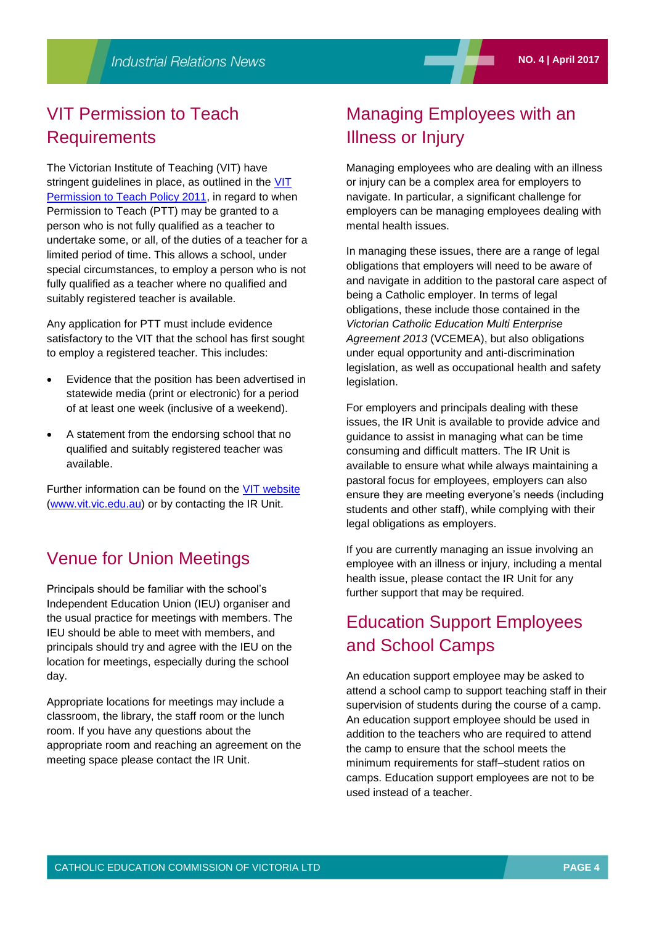## VIT Permission to Teach **Requirements**

The Victorian Institute of Teaching (VIT) have stringent guidelines in place, as outlined in the VIT [Permission to Teach Policy 2011,](http://www.vit.vic.edu.au/media/documents/publications-and-forms/policies/PTT_Policy_2011.pdf) in regard to when Permission to Teach (PTT) may be granted to a person who is not fully qualified as a teacher to undertake some, or all, of the duties of a teacher for a limited period of time. This allows a school, under special circumstances, to employ a person who is not fully qualified as a teacher where no qualified and suitably registered teacher is available.

Any application for PTT must include evidence satisfactory to the VIT that the school has first sought to employ a registered teacher. This includes:

- Evidence that the position has been advertised in statewide media (print or electronic) for a period of at least one week (inclusive of a weekend).
- A statement from the endorsing school that no qualified and suitably registered teacher was available.

Further information can be found on the [VIT website](http://www.vit.vic.edu.au/#for-employers) [\(www.vit.vic.edu.au\)](http://www.vit.vic.edu.au/) or by contacting the IR Unit.

## Venue for Union Meetings

Principals should be familiar with the school's Independent Education Union (IEU) organiser and the usual practice for meetings with members. The IEU should be able to meet with members, and principals should try and agree with the IEU on the location for meetings, especially during the school day.

Appropriate locations for meetings may include a classroom, the library, the staff room or the lunch room. If you have any questions about the appropriate room and reaching an agreement on the meeting space please contact the IR Unit.

## Managing Employees with an Illness or Injury

Managing employees who are dealing with an illness or injury can be a complex area for employers to navigate. In particular, a significant challenge for employers can be managing employees dealing with mental health issues.

In managing these issues, there are a range of legal obligations that employers will need to be aware of and navigate in addition to the pastoral care aspect of being a Catholic employer. In terms of legal obligations, these include those contained in the *Victorian Catholic Education Multi Enterprise Agreement 2013* (VCEMEA), but also obligations under equal opportunity and anti-discrimination legislation, as well as occupational health and safety legislation.

For employers and principals dealing with these issues, the IR Unit is available to provide advice and guidance to assist in managing what can be time consuming and difficult matters. The IR Unit is available to ensure what while always maintaining a pastoral focus for employees, employers can also ensure they are meeting everyone's needs (including students and other staff), while complying with their legal obligations as employers.

If you are currently managing an issue involving an employee with an illness or injury, including a mental health issue, please contact the IR Unit for any further support that may be required.

# Education Support Employees and School Camps

An education support employee may be asked to attend a school camp to support teaching staff in their supervision of students during the course of a camp. An education support employee should be used in addition to the teachers who are required to attend the camp to ensure that the school meets the minimum requirements for staff–student ratios on camps. Education support employees are not to be used instead of a teacher.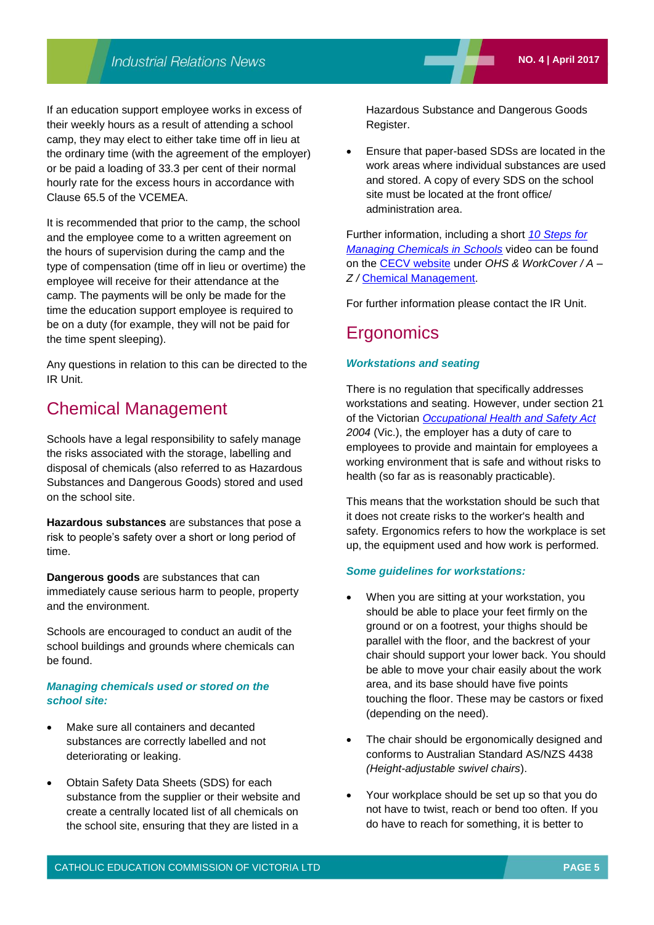If an education support employee works in excess of their weekly hours as a result of attending a school camp, they may elect to either take time off in lieu at the ordinary time (with the agreement of the employer) or be paid a loading of 33.3 per cent of their normal hourly rate for the excess hours in accordance with Clause 65.5 of the VCEMEA.

It is recommended that prior to the camp, the school and the employee come to a written agreement on the hours of supervision during the camp and the type of compensation (time off in lieu or overtime) the employee will receive for their attendance at the camp. The payments will be only be made for the time the education support employee is required to be on a duty (for example, they will not be paid for the time spent sleeping).

Any questions in relation to this can be directed to the IR Unit.

## Chemical Management

Schools have a legal responsibility to safely manage the risks associated with the storage, labelling and disposal of chemicals (also referred to as Hazardous Substances and Dangerous Goods) stored and used on the school site.

**Hazardous substances** are substances that pose a risk to people's safety over a short or long period of time.

**Dangerous goods** are substances that can immediately cause serious harm to people, property and the environment.

Schools are encouraged to conduct an audit of the school buildings and grounds where chemicals can be found.

#### *Managing chemicals used or stored on the school site:*

- Make sure all containers and decanted substances are correctly labelled and not deteriorating or leaking.
- Obtain Safety Data Sheets (SDS) for each substance from the supplier or their website and create a centrally located list of all chemicals on the school site, ensuring that they are listed in a

Hazardous Substance and Dangerous Goods Register.

 Ensure that paper-based SDSs are located in the work areas where individual substances are used and stored. A copy of every SDS on the school site must be located at the front office/ administration area.

Further information, including a short *[10 Steps for](https://www.youtube.com/watch?v=yzQ2jQtivqM)  [Managing Chemicals in Schools](https://www.youtube.com/watch?v=yzQ2jQtivqM)* video can be found on the [CECV website](http://www.cecv.catholic.edu.au/) under *OHS & WorkCover / A – Z /* [Chemical Management.](http://www.cecv.catholic.edu.au/OHS-WorkCover/Resources/Hazardous-Substances/Chemical-Management)

For further information please contact the IR Unit.

## **Ergonomics**

#### *Workstations and seating*

There is no regulation that specifically addresses workstations and seating. However, under section 21 of the Victorian *[Occupational Health and Safety Act](http://www.austlii.edu.au/au/legis/vic/consol_act/ohasa2004273/s21.html) 2004* (Vic.), the employer has a duty of care to employees to provide and maintain for employees a working environment that is safe and without risks to health (so far as is reasonably practicable).

This means that the workstation should be such that it does not create risks to the worker's health and safety. Ergonomics refers to how the workplace is set up, the equipment used and how work is performed.

#### *Some guidelines for workstations:*

- When you are sitting at your workstation, you should be able to place your feet firmly on the ground or on a footrest, your thighs should be parallel with the floor, and the backrest of your chair should support your lower back. You should be able to move your chair easily about the work area, and its base should have five points touching the floor. These may be castors or fixed (depending on the need).
- The chair should be ergonomically designed and conforms to Australian Standard AS/NZS 4438 *(Height-adjustable swivel chairs*).
- Your workplace should be set up so that you do not have to twist, reach or bend too often. If you do have to reach for something, it is better to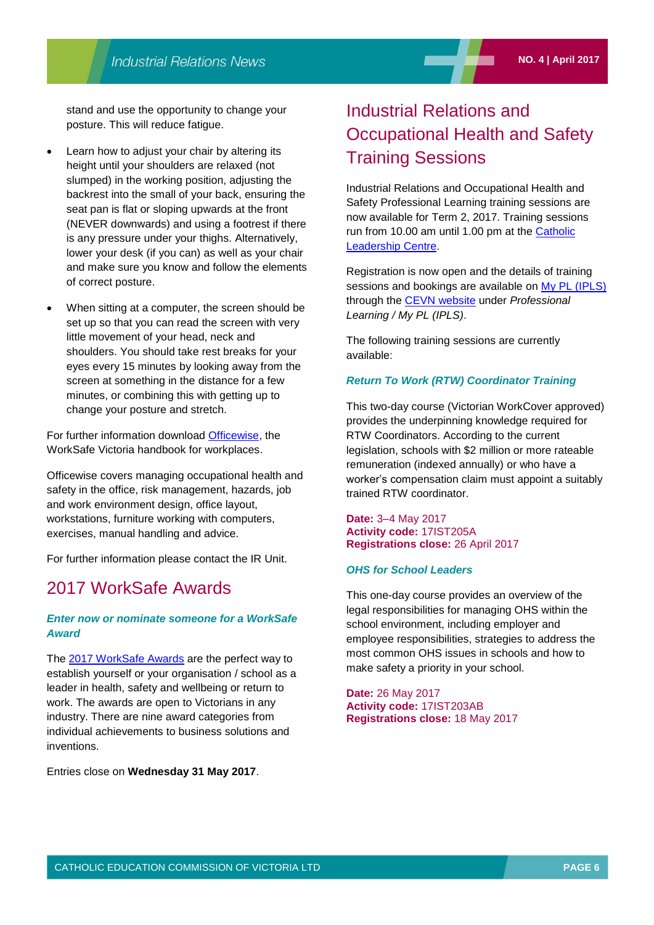stand and use the opportunity to change your posture. This will reduce fatigue.

- Learn how to adjust your chair by altering its height until your shoulders are relaxed (not slumped) in the working position, adjusting the backrest into the small of your back, ensuring the seat pan is flat or sloping upwards at the front (NEVER downwards) and using a footrest if there is any pressure under your thighs. Alternatively, lower your desk (if you can) as well as your chair and make sure you know and follow the elements of correct posture.
- When sitting at a computer, the screen should be set up so that you can read the screen with very little movement of your head, neck and shoulders. You should take rest breaks for your eyes every 15 minutes by looking away from the screen at something in the distance for a few minutes, or combining this with getting up to change your posture and stretch.

For further information download [Officewise,](http://www.worksafe.vic.gov.au/__data/assets/pdf_file/0016/3634/Officewise_web.pdf) the WorkSafe Victoria handbook for workplaces.

Officewise covers managing occupational health and safety in the office, risk management, hazards, job and work environment design, office layout, workstations, furniture working with computers, exercises, manual handling and advice.

For further information please contact the IR Unit.

### 2017 WorkSafe Awards

#### *Enter now or nominate someone for a WorkSafe Award*

The [2017 WorkSafe Awards](https://www.worksafeawards.com.au/) are the perfect way to establish yourself or your organisation / school as a leader in health, safety and wellbeing or return to work. The awards are open to Victorians in any industry. There are nine award categories from individual achievements to business solutions and inventions.

Entries close on **Wednesday 31 May 2017**.

# Industrial Relations and Occupational Health and Safety Training Sessions

Industrial Relations and Occupational Health and Safety Professional Learning training sessions are now available for Term 2, 2017. Training sessions run from 10.00 am until 1.00 pm at the Catholic [Leadership Centre.](http://www.cem.edu.au/clc/)

Registration is now open and the details of training sessions and bookings are available on [My PL \(IPLS\)](http://cevn.cecv.catholic.edu.au/ProfessionalLearning.aspx?id=7160) through the [CEVN website](http://cevn.cecv.catholic.edu.au/cevnlogin.aspx) under *Professional Learning / My PL (IPLS)*.

The following training sessions are currently available:

#### *Return To Work (RTW) Coordinator Training*

This two-day course (Victorian WorkCover approved) provides the underpinning knowledge required for RTW Coordinators. According to the current legislation, schools with \$2 million or more rateable remuneration (indexed annually) or who have a worker's compensation claim must appoint a suitably trained RTW coordinator.

#### **Date:** 3–4 May 2017 **Activity code:** 17IST205A **Registrations close:** 26 April 2017

#### *OHS for School Leaders*

This one-day course provides an overview of the legal responsibilities for managing OHS within the school environment, including employer and employee responsibilities, strategies to address the most common OHS issues in schools and how to make safety a priority in your school.

**Date:** 26 May 2017 **Activity code:** 17IST203AB **Registrations close:** 18 May 2017